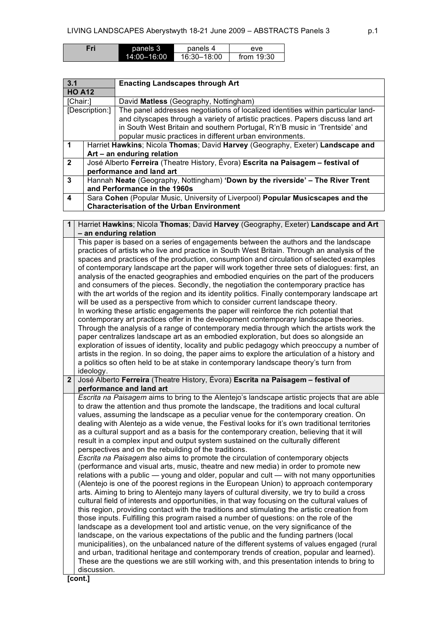| Fri | panels 3        | panels 4    | eve          |
|-----|-----------------|-------------|--------------|
|     | $14:00 - 16:00$ | 16:30-18:00 | from $19:30$ |

| 3.1            |                                                                                  | <b>Enacting Landscapes through Art</b>                                           |  |
|----------------|----------------------------------------------------------------------------------|----------------------------------------------------------------------------------|--|
| <b>HO A12</b>  |                                                                                  |                                                                                  |  |
| [Chair:]       |                                                                                  | David Matless (Geography, Nottingham)                                            |  |
|                | [Description:]                                                                   | The panel addresses negotiations of localized identities within particular land- |  |
|                |                                                                                  | and cityscapes through a variety of artistic practices. Papers discuss land art  |  |
|                |                                                                                  | in South West Britain and southern Portugal, R'n'B music in 'Trentside' and      |  |
|                |                                                                                  | popular music practices in different urban environments.                         |  |
| -1             | Harriet Hawkins; Nicola Thomas; David Harvey (Geography, Exeter) Landscape and   |                                                                                  |  |
|                | Art - an enduring relation                                                       |                                                                                  |  |
| $\overline{2}$ | José Alberto Ferreira (Theatre History, Évora) Escrita na Paisagem - festival of |                                                                                  |  |
|                | performance and land art                                                         |                                                                                  |  |
| $\mathbf{3}$   | Hannah Neate (Geography, Nottingham) 'Down by the riverside' - The River Trent   |                                                                                  |  |
|                | and Performance in the 1960s                                                     |                                                                                  |  |
| 4              | Sara Cohen (Popular Music, University of Liverpool) Popular Musicscapes and the  |                                                                                  |  |
|                |                                                                                  | <b>Characterisation of the Urban Environment</b>                                 |  |

| 1              | Harriet Hawkins; Nicola Thomas; David Harvey (Geography, Exeter) Landscape and Art                                                                                                                                                                                                                                                                                                                                                                                                                                                                                                                                                                                                                                                                                                                                                                                                                                                                                                                                                                                                                                                                                                                                                                                                                                                                                                                                                                                                                                                                                                                                                                                                                                                                                                                                                                                                                  |
|----------------|-----------------------------------------------------------------------------------------------------------------------------------------------------------------------------------------------------------------------------------------------------------------------------------------------------------------------------------------------------------------------------------------------------------------------------------------------------------------------------------------------------------------------------------------------------------------------------------------------------------------------------------------------------------------------------------------------------------------------------------------------------------------------------------------------------------------------------------------------------------------------------------------------------------------------------------------------------------------------------------------------------------------------------------------------------------------------------------------------------------------------------------------------------------------------------------------------------------------------------------------------------------------------------------------------------------------------------------------------------------------------------------------------------------------------------------------------------------------------------------------------------------------------------------------------------------------------------------------------------------------------------------------------------------------------------------------------------------------------------------------------------------------------------------------------------------------------------------------------------------------------------------------------------|
|                | - an enduring relation                                                                                                                                                                                                                                                                                                                                                                                                                                                                                                                                                                                                                                                                                                                                                                                                                                                                                                                                                                                                                                                                                                                                                                                                                                                                                                                                                                                                                                                                                                                                                                                                                                                                                                                                                                                                                                                                              |
|                | This paper is based on a series of engagements between the authors and the landscape<br>practices of artists who live and practice in South West Britain. Through an analysis of the<br>spaces and practices of the production, consumption and circulation of selected examples<br>of contemporary landscape art the paper will work together three sets of dialogues: first, an<br>analysis of the enacted geographies and embodied enquiries on the part of the producers<br>and consumers of the pieces. Secondly, the negotiation the contemporary practice has<br>with the art worlds of the region and its identity politics. Finally contemporary landscape art<br>will be used as a perspective from which to consider current landscape theory.<br>In working these artistic engagements the paper will reinforce the rich potential that<br>contemporary art practices offer in the development contemporary landscape theories.<br>Through the analysis of a range of contemporary media through which the artists work the<br>paper centralizes landscape art as an embodied exploration, but does so alongside an<br>exploration of issues of identity, locality and public pedagogy which preoccupy a number of<br>artists in the region. In so doing, the paper aims to explore the articulation of a history and<br>a politics so often held to be at stake in contemporary landscape theory's turn from<br>ideology.                                                                                                                                                                                                                                                                                                                                                                                                                                                              |
| 2 <sup>1</sup> | José Alberto Ferreira (Theatre History, Évora) Escrita na Paisagem - festival of                                                                                                                                                                                                                                                                                                                                                                                                                                                                                                                                                                                                                                                                                                                                                                                                                                                                                                                                                                                                                                                                                                                                                                                                                                                                                                                                                                                                                                                                                                                                                                                                                                                                                                                                                                                                                    |
|                | performance and land art                                                                                                                                                                                                                                                                                                                                                                                                                                                                                                                                                                                                                                                                                                                                                                                                                                                                                                                                                                                                                                                                                                                                                                                                                                                                                                                                                                                                                                                                                                                                                                                                                                                                                                                                                                                                                                                                            |
|                | Escrita na Paisagem aims to bring to the Alentejo's landscape artistic projects that are able<br>to draw the attention and thus promote the landscape, the traditions and local cultural<br>values, assuming the landscape as a peculiar venue for the contemporary creation. On<br>dealing with Alentejo as a wide venue, the Festival looks for it's own traditional territories<br>as a cultural support and as a basis for the contemporary creation, believing that it will<br>result in a complex input and output system sustained on the culturally different<br>perspectives and on the rebuilding of the traditions.<br>Escrita na Paisagem also aims to promote the circulation of contemporary objects<br>(performance and visual arts, music, theatre and new media) in order to promote new<br>relations with a public — young and older, popular and cult — with not many opportunities<br>(Alentejo is one of the poorest regions in the European Union) to approach contemporary<br>arts. Aiming to bring to Alentejo many layers of cultural diversity, we try to build a cross<br>cultural field of interests and opportunities, in that way focusing on the cultural values of<br>this region, providing contact with the traditions and stimulating the artistic creation from<br>those inputs. Fulfilling this program raised a number of questions: on the role of the<br>landscape as a development tool and artistic venue, on the very significance of the<br>landscape, on the various expectations of the public and the funding partners (local<br>municipalities), on the unbalanced nature of the different systems of values engaged (rural<br>and urban, traditional heritage and contemporary trends of creation, popular and learned).<br>These are the questions we are still working with, and this presentation intends to bring to<br>discussion.<br>[cont.] |
|                |                                                                                                                                                                                                                                                                                                                                                                                                                                                                                                                                                                                                                                                                                                                                                                                                                                                                                                                                                                                                                                                                                                                                                                                                                                                                                                                                                                                                                                                                                                                                                                                                                                                                                                                                                                                                                                                                                                     |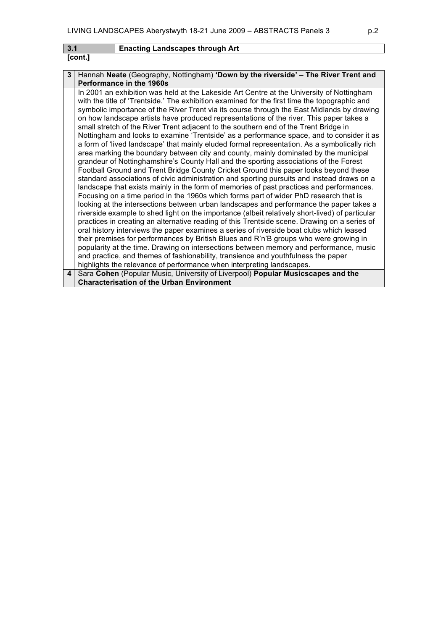| 3.1     | <b>Enacting Landscapes through Art</b> |
|---------|----------------------------------------|
| [cont.] |                                        |

| 3 | Hannah Neate (Geography, Nottingham) 'Down by the riverside' - The River Trent and              |
|---|-------------------------------------------------------------------------------------------------|
|   | Performance in the 1960s                                                                        |
|   | In 2001 an exhibition was held at the Lakeside Art Centre at the University of Nottingham       |
|   | with the title of 'Trentside.' The exhibition examined for the first time the topographic and   |
|   | symbolic importance of the River Trent via its course through the East Midlands by drawing      |
|   | on how landscape artists have produced representations of the river. This paper takes a         |
|   | small stretch of the River Trent adjacent to the southern end of the Trent Bridge in            |
|   | Nottingham and looks to examine 'Trentside' as a performance space, and to consider it as       |
|   | a form of 'lived landscape' that mainly eluded formal representation. As a symbolically rich    |
|   | area marking the boundary between city and county, mainly dominated by the municipal            |
|   | grandeur of Nottinghamshire's County Hall and the sporting associations of the Forest           |
|   | Football Ground and Trent Bridge County Cricket Ground this paper looks beyond these            |
|   | standard associations of civic administration and sporting pursuits and instead draws on a      |
|   | landscape that exists mainly in the form of memories of past practices and performances.        |
|   | Focusing on a time period in the 1960s which forms part of wider PhD research that is           |
|   | looking at the intersections between urban landscapes and performance the paper takes a         |
|   | riverside example to shed light on the importance (albeit relatively short-lived) of particular |
|   | practices in creating an alternative reading of this Trentside scene. Drawing on a series of    |
|   | oral history interviews the paper examines a series of riverside boat clubs which leased        |
|   | their premises for performances by British Blues and R'n'B groups who were growing in           |
|   | popularity at the time. Drawing on intersections between memory and performance, music          |
|   | and practice, and themes of fashionability, transience and youthfulness the paper               |
|   | highlights the relevance of performance when interpreting landscapes.                           |
| 4 | Sara Cohen (Popular Music, University of Liverpool) Popular Musicscapes and the                 |
|   | <b>Characterisation of the Urban Environment</b>                                                |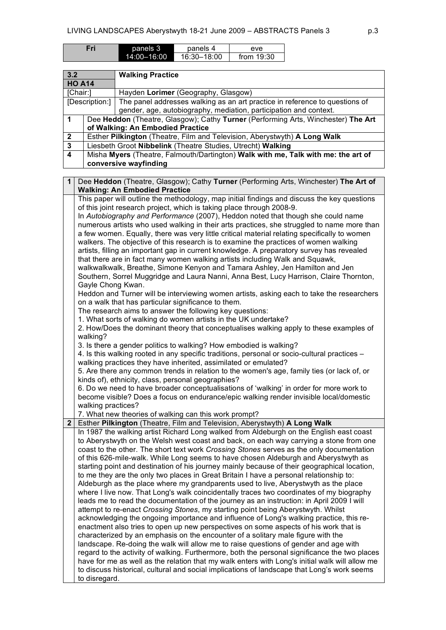| Fri | panels 3        | panels 4    | eve          |
|-----|-----------------|-------------|--------------|
|     | $14:00 - 16:00$ | 16:30-18:00 | from $19:30$ |

| 3.2                     |                                                                                   | <b>Walking Practice</b>                                                                    |  |
|-------------------------|-----------------------------------------------------------------------------------|--------------------------------------------------------------------------------------------|--|
| <b>HO A14</b>           |                                                                                   |                                                                                            |  |
| [Chair:]                |                                                                                   | Hayden Lorimer (Geography, Glasgow)                                                        |  |
|                         |                                                                                   | [Description:] The panel addresses walking as an art practice in reference to questions of |  |
|                         |                                                                                   | gender, age, autobiography, mediation, participation and context.                          |  |
| 1                       | Dee Heddon (Theatre, Glasgow); Cathy Turner (Performing Arts, Winchester) The Art |                                                                                            |  |
|                         |                                                                                   | of Walking: An Embodied Practice                                                           |  |
| $\overline{2}$          |                                                                                   | Esther Pilkington (Theatre, Film and Television, Aberystwyth) A Long Walk                  |  |
| 3                       |                                                                                   | Liesbeth Groot Nibbelink (Theatre Studies, Utrecht) Walking                                |  |
| $\overline{\mathbf{4}}$ | Misha Myers (Theatre, Falmouth/Dartington) Walk with me, Talk with me: the art of |                                                                                            |  |
|                         |                                                                                   | conversive wayfinding                                                                      |  |

| 1            | Dee Heddon (Theatre, Glasgow); Cathy Turner (Performing Arts, Winchester) The Art of                                                                                                                                                                                                                                                                                                                                                                                                                                                                                                                                                                                                                                                                                                                                                                                                                                                                                                                                                                                                                                                                                                                                                                                                                                                                                                               |
|--------------|----------------------------------------------------------------------------------------------------------------------------------------------------------------------------------------------------------------------------------------------------------------------------------------------------------------------------------------------------------------------------------------------------------------------------------------------------------------------------------------------------------------------------------------------------------------------------------------------------------------------------------------------------------------------------------------------------------------------------------------------------------------------------------------------------------------------------------------------------------------------------------------------------------------------------------------------------------------------------------------------------------------------------------------------------------------------------------------------------------------------------------------------------------------------------------------------------------------------------------------------------------------------------------------------------------------------------------------------------------------------------------------------------|
|              | <b>Walking: An Embodied Practice</b>                                                                                                                                                                                                                                                                                                                                                                                                                                                                                                                                                                                                                                                                                                                                                                                                                                                                                                                                                                                                                                                                                                                                                                                                                                                                                                                                                               |
|              | This paper will outline the methodology, map initial findings and discuss the key questions                                                                                                                                                                                                                                                                                                                                                                                                                                                                                                                                                                                                                                                                                                                                                                                                                                                                                                                                                                                                                                                                                                                                                                                                                                                                                                        |
|              | of this joint research project, which is taking place through 2008-9.                                                                                                                                                                                                                                                                                                                                                                                                                                                                                                                                                                                                                                                                                                                                                                                                                                                                                                                                                                                                                                                                                                                                                                                                                                                                                                                              |
|              | In Autobiography and Performance (2007), Heddon noted that though she could name                                                                                                                                                                                                                                                                                                                                                                                                                                                                                                                                                                                                                                                                                                                                                                                                                                                                                                                                                                                                                                                                                                                                                                                                                                                                                                                   |
|              | numerous artists who used walking in their arts practices, she struggled to name more than                                                                                                                                                                                                                                                                                                                                                                                                                                                                                                                                                                                                                                                                                                                                                                                                                                                                                                                                                                                                                                                                                                                                                                                                                                                                                                         |
|              | a few women. Equally, there was very little critical material relating specifically to women                                                                                                                                                                                                                                                                                                                                                                                                                                                                                                                                                                                                                                                                                                                                                                                                                                                                                                                                                                                                                                                                                                                                                                                                                                                                                                       |
|              | walkers. The objective of this research is to examine the practices of women walking                                                                                                                                                                                                                                                                                                                                                                                                                                                                                                                                                                                                                                                                                                                                                                                                                                                                                                                                                                                                                                                                                                                                                                                                                                                                                                               |
|              | artists, filling an important gap in current knowledge. A preparatory survey has revealed                                                                                                                                                                                                                                                                                                                                                                                                                                                                                                                                                                                                                                                                                                                                                                                                                                                                                                                                                                                                                                                                                                                                                                                                                                                                                                          |
|              | that there are in fact many women walking artists including Walk and Squawk,                                                                                                                                                                                                                                                                                                                                                                                                                                                                                                                                                                                                                                                                                                                                                                                                                                                                                                                                                                                                                                                                                                                                                                                                                                                                                                                       |
|              | walkwalkwalk, Breathe, Simone Kenyon and Tamara Ashley, Jen Hamilton and Jen                                                                                                                                                                                                                                                                                                                                                                                                                                                                                                                                                                                                                                                                                                                                                                                                                                                                                                                                                                                                                                                                                                                                                                                                                                                                                                                       |
|              | Southern, Sorrel Muggridge and Laura Nanni, Anna Best, Lucy Harrison, Claire Thornton,                                                                                                                                                                                                                                                                                                                                                                                                                                                                                                                                                                                                                                                                                                                                                                                                                                                                                                                                                                                                                                                                                                                                                                                                                                                                                                             |
|              | Gayle Chong Kwan.                                                                                                                                                                                                                                                                                                                                                                                                                                                                                                                                                                                                                                                                                                                                                                                                                                                                                                                                                                                                                                                                                                                                                                                                                                                                                                                                                                                  |
|              | Heddon and Turner will be interviewing women artists, asking each to take the researchers                                                                                                                                                                                                                                                                                                                                                                                                                                                                                                                                                                                                                                                                                                                                                                                                                                                                                                                                                                                                                                                                                                                                                                                                                                                                                                          |
|              | on a walk that has particular significance to them.                                                                                                                                                                                                                                                                                                                                                                                                                                                                                                                                                                                                                                                                                                                                                                                                                                                                                                                                                                                                                                                                                                                                                                                                                                                                                                                                                |
|              | The research aims to answer the following key questions:                                                                                                                                                                                                                                                                                                                                                                                                                                                                                                                                                                                                                                                                                                                                                                                                                                                                                                                                                                                                                                                                                                                                                                                                                                                                                                                                           |
|              | 1. What sorts of walking do women artists in the UK undertake?                                                                                                                                                                                                                                                                                                                                                                                                                                                                                                                                                                                                                                                                                                                                                                                                                                                                                                                                                                                                                                                                                                                                                                                                                                                                                                                                     |
|              | 2. How/Does the dominant theory that conceptualises walking apply to these examples of                                                                                                                                                                                                                                                                                                                                                                                                                                                                                                                                                                                                                                                                                                                                                                                                                                                                                                                                                                                                                                                                                                                                                                                                                                                                                                             |
|              | walking?                                                                                                                                                                                                                                                                                                                                                                                                                                                                                                                                                                                                                                                                                                                                                                                                                                                                                                                                                                                                                                                                                                                                                                                                                                                                                                                                                                                           |
|              | 3. Is there a gender politics to walking? How embodied is walking?                                                                                                                                                                                                                                                                                                                                                                                                                                                                                                                                                                                                                                                                                                                                                                                                                                                                                                                                                                                                                                                                                                                                                                                                                                                                                                                                 |
|              | 4. Is this walking rooted in any specific traditions, personal or socio-cultural practices -                                                                                                                                                                                                                                                                                                                                                                                                                                                                                                                                                                                                                                                                                                                                                                                                                                                                                                                                                                                                                                                                                                                                                                                                                                                                                                       |
|              | walking practices they have inherited, assimilated or emulated?                                                                                                                                                                                                                                                                                                                                                                                                                                                                                                                                                                                                                                                                                                                                                                                                                                                                                                                                                                                                                                                                                                                                                                                                                                                                                                                                    |
|              | 5. Are there any common trends in relation to the women's age, family ties (or lack of, or                                                                                                                                                                                                                                                                                                                                                                                                                                                                                                                                                                                                                                                                                                                                                                                                                                                                                                                                                                                                                                                                                                                                                                                                                                                                                                         |
|              | kinds of), ethnicity, class, personal geographies?                                                                                                                                                                                                                                                                                                                                                                                                                                                                                                                                                                                                                                                                                                                                                                                                                                                                                                                                                                                                                                                                                                                                                                                                                                                                                                                                                 |
|              | 6. Do we need to have broader conceptualisations of 'walking' in order for more work to                                                                                                                                                                                                                                                                                                                                                                                                                                                                                                                                                                                                                                                                                                                                                                                                                                                                                                                                                                                                                                                                                                                                                                                                                                                                                                            |
|              | become visible? Does a focus on endurance/epic walking render invisible local/domestic                                                                                                                                                                                                                                                                                                                                                                                                                                                                                                                                                                                                                                                                                                                                                                                                                                                                                                                                                                                                                                                                                                                                                                                                                                                                                                             |
|              | walking practices?                                                                                                                                                                                                                                                                                                                                                                                                                                                                                                                                                                                                                                                                                                                                                                                                                                                                                                                                                                                                                                                                                                                                                                                                                                                                                                                                                                                 |
|              | 7. What new theories of walking can this work prompt?                                                                                                                                                                                                                                                                                                                                                                                                                                                                                                                                                                                                                                                                                                                                                                                                                                                                                                                                                                                                                                                                                                                                                                                                                                                                                                                                              |
| $\mathbf{2}$ | Esther Pilkington (Theatre, Film and Television, Aberystwyth) A Long Walk                                                                                                                                                                                                                                                                                                                                                                                                                                                                                                                                                                                                                                                                                                                                                                                                                                                                                                                                                                                                                                                                                                                                                                                                                                                                                                                          |
|              |                                                                                                                                                                                                                                                                                                                                                                                                                                                                                                                                                                                                                                                                                                                                                                                                                                                                                                                                                                                                                                                                                                                                                                                                                                                                                                                                                                                                    |
|              |                                                                                                                                                                                                                                                                                                                                                                                                                                                                                                                                                                                                                                                                                                                                                                                                                                                                                                                                                                                                                                                                                                                                                                                                                                                                                                                                                                                                    |
|              |                                                                                                                                                                                                                                                                                                                                                                                                                                                                                                                                                                                                                                                                                                                                                                                                                                                                                                                                                                                                                                                                                                                                                                                                                                                                                                                                                                                                    |
|              |                                                                                                                                                                                                                                                                                                                                                                                                                                                                                                                                                                                                                                                                                                                                                                                                                                                                                                                                                                                                                                                                                                                                                                                                                                                                                                                                                                                                    |
|              |                                                                                                                                                                                                                                                                                                                                                                                                                                                                                                                                                                                                                                                                                                                                                                                                                                                                                                                                                                                                                                                                                                                                                                                                                                                                                                                                                                                                    |
|              |                                                                                                                                                                                                                                                                                                                                                                                                                                                                                                                                                                                                                                                                                                                                                                                                                                                                                                                                                                                                                                                                                                                                                                                                                                                                                                                                                                                                    |
|              |                                                                                                                                                                                                                                                                                                                                                                                                                                                                                                                                                                                                                                                                                                                                                                                                                                                                                                                                                                                                                                                                                                                                                                                                                                                                                                                                                                                                    |
|              |                                                                                                                                                                                                                                                                                                                                                                                                                                                                                                                                                                                                                                                                                                                                                                                                                                                                                                                                                                                                                                                                                                                                                                                                                                                                                                                                                                                                    |
|              |                                                                                                                                                                                                                                                                                                                                                                                                                                                                                                                                                                                                                                                                                                                                                                                                                                                                                                                                                                                                                                                                                                                                                                                                                                                                                                                                                                                                    |
|              |                                                                                                                                                                                                                                                                                                                                                                                                                                                                                                                                                                                                                                                                                                                                                                                                                                                                                                                                                                                                                                                                                                                                                                                                                                                                                                                                                                                                    |
|              |                                                                                                                                                                                                                                                                                                                                                                                                                                                                                                                                                                                                                                                                                                                                                                                                                                                                                                                                                                                                                                                                                                                                                                                                                                                                                                                                                                                                    |
|              |                                                                                                                                                                                                                                                                                                                                                                                                                                                                                                                                                                                                                                                                                                                                                                                                                                                                                                                                                                                                                                                                                                                                                                                                                                                                                                                                                                                                    |
|              |                                                                                                                                                                                                                                                                                                                                                                                                                                                                                                                                                                                                                                                                                                                                                                                                                                                                                                                                                                                                                                                                                                                                                                                                                                                                                                                                                                                                    |
|              |                                                                                                                                                                                                                                                                                                                                                                                                                                                                                                                                                                                                                                                                                                                                                                                                                                                                                                                                                                                                                                                                                                                                                                                                                                                                                                                                                                                                    |
|              |                                                                                                                                                                                                                                                                                                                                                                                                                                                                                                                                                                                                                                                                                                                                                                                                                                                                                                                                                                                                                                                                                                                                                                                                                                                                                                                                                                                                    |
|              |                                                                                                                                                                                                                                                                                                                                                                                                                                                                                                                                                                                                                                                                                                                                                                                                                                                                                                                                                                                                                                                                                                                                                                                                                                                                                                                                                                                                    |
|              | have for me as well as the relation that my walk enters with Long's initial walk will allow me<br>to discuss historical, cultural and social implications of landscape that Long's work seems                                                                                                                                                                                                                                                                                                                                                                                                                                                                                                                                                                                                                                                                                                                                                                                                                                                                                                                                                                                                                                                                                                                                                                                                      |
|              | In 1987 the walking artist Richard Long walked from Aldeburgh on the English east coast<br>to Aberystwyth on the Welsh west coast and back, on each way carrying a stone from one<br>coast to the other. The short text work Crossing Stones serves as the only documentation<br>of this 626-mile-walk. While Long seems to have chosen Aldeburgh and Aberystwyth as<br>starting point and destination of his journey mainly because of their geographical location,<br>to me they are the only two places in Great Britain I have a personal relationship to:<br>Aldeburgh as the place where my grandparents used to live, Aberystwyth as the place<br>where I live now. That Long's walk coincidentally traces two coordinates of my biography<br>leads me to read the documentation of the journey as an instruction: in April 2009 I will<br>attempt to re-enact Crossing Stones, my starting point being Aberystwyth. Whilst<br>acknowledging the ongoing importance and influence of Long's walking practice, this re-<br>enactment also tries to open up new perspectives on some aspects of his work that is<br>characterized by an emphasis on the encounter of a solitary male figure with the<br>landscape. Re-doing the walk will allow me to raise questions of gender and age with<br>regard to the activity of walking. Furthermore, both the personal significance the two places |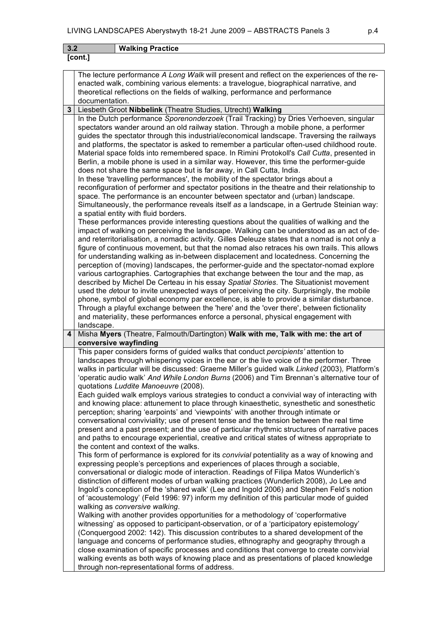| 3.2            | <b>Walking Practice</b>                                                                                                                                                                                                                                                                                                                                                                                                                                                                                                                                                                                                                                                                                                                                                                                                                                                                                                                                                                                                                                                                                                                                                                                                                                                                                                                                                                                                                                                                                                                                                                                                                                                                                                                                                                                                                                                                                                                                                                                                                                                                                                                                                                                                                |
|----------------|----------------------------------------------------------------------------------------------------------------------------------------------------------------------------------------------------------------------------------------------------------------------------------------------------------------------------------------------------------------------------------------------------------------------------------------------------------------------------------------------------------------------------------------------------------------------------------------------------------------------------------------------------------------------------------------------------------------------------------------------------------------------------------------------------------------------------------------------------------------------------------------------------------------------------------------------------------------------------------------------------------------------------------------------------------------------------------------------------------------------------------------------------------------------------------------------------------------------------------------------------------------------------------------------------------------------------------------------------------------------------------------------------------------------------------------------------------------------------------------------------------------------------------------------------------------------------------------------------------------------------------------------------------------------------------------------------------------------------------------------------------------------------------------------------------------------------------------------------------------------------------------------------------------------------------------------------------------------------------------------------------------------------------------------------------------------------------------------------------------------------------------------------------------------------------------------------------------------------------------|
| [cont.]        |                                                                                                                                                                                                                                                                                                                                                                                                                                                                                                                                                                                                                                                                                                                                                                                                                                                                                                                                                                                                                                                                                                                                                                                                                                                                                                                                                                                                                                                                                                                                                                                                                                                                                                                                                                                                                                                                                                                                                                                                                                                                                                                                                                                                                                        |
| documentation. | The lecture performance A Long Walk will present and reflect on the experiences of the re-<br>enacted walk, combining various elements: a travelogue, biographical narrative, and<br>theoretical reflections on the fields of walking, performance and performance                                                                                                                                                                                                                                                                                                                                                                                                                                                                                                                                                                                                                                                                                                                                                                                                                                                                                                                                                                                                                                                                                                                                                                                                                                                                                                                                                                                                                                                                                                                                                                                                                                                                                                                                                                                                                                                                                                                                                                     |
| 3              | Liesbeth Groot Nibbelink (Theatre Studies, Utrecht) Walking                                                                                                                                                                                                                                                                                                                                                                                                                                                                                                                                                                                                                                                                                                                                                                                                                                                                                                                                                                                                                                                                                                                                                                                                                                                                                                                                                                                                                                                                                                                                                                                                                                                                                                                                                                                                                                                                                                                                                                                                                                                                                                                                                                            |
| landscape.     | In the Dutch performance Sporenonderzoek (Trail Tracking) by Dries Verhoeven, singular<br>spectators wander around an old railway station. Through a mobile phone, a performer<br>guides the spectator through this industrial/economical landscape. Traversing the railways<br>and platforms, the spectator is asked to remember a particular often-used childhood route.<br>Material space folds into remembered space. In Rimini Protokoll's Call Cutta, presented in<br>Berlin, a mobile phone is used in a similar way. However, this time the performer-guide<br>does not share the same space but is far away, in Call Cutta, India.<br>In these 'travelling performances', the mobility of the spectator brings about a<br>reconfiguration of performer and spectator positions in the theatre and their relationship to<br>space. The performance is an encounter between spectator and (urban) landscape.<br>Simultaneously, the performance reveals itself as a landscape, in a Gertrude Steinian way:<br>a spatial entity with fluid borders.<br>These performances provide interesting questions about the qualities of walking and the<br>impact of walking on perceiving the landscape. Walking can be understood as an act of de-<br>and reterritorialisation, a nomadic activity. Gilles Deleuze states that a nomad is not only a<br>figure of continuous movement, but that the nomad also retraces his own trails. This allows<br>for understanding walking as in-between displacement and locatedness. Concerning the<br>perception of (moving) landscapes, the performer-guide and the spectator-nomad explore<br>various cartographies. Cartographies that exchange between the tour and the map, as<br>described by Michel De Certeau in his essay Spatial Stories. The Situationist movement<br>used the detour to invite unexpected ways of perceiving the city. Surprisingly, the mobile<br>phone, symbol of global economy par excellence, is able to provide a similar disturbance.<br>Through a playful exchange between the 'here' and the 'over there', between fictionality<br>and materiality, these performances enforce a personal, physical engagement with                                       |
| 4              | Misha Myers (Theatre, Falmouth/Dartington) Walk with me, Talk with me: the art of<br>conversive wayfinding                                                                                                                                                                                                                                                                                                                                                                                                                                                                                                                                                                                                                                                                                                                                                                                                                                                                                                                                                                                                                                                                                                                                                                                                                                                                                                                                                                                                                                                                                                                                                                                                                                                                                                                                                                                                                                                                                                                                                                                                                                                                                                                             |
|                | This paper considers forms of guided walks that conduct percipients' attention to<br>landscapes through whispering voices in the ear or the live voice of the performer. Three<br>walks in particular will be discussed: Graeme Miller's guided walk Linked (2003), Platform's<br>'operatic audio walk' And While London Burns (2006) and Tim Brennan's alternative tour of<br>quotations Luddite Manoeuvre (2008).<br>Each guided walk employs various strategies to conduct a convivial way of interacting with<br>and knowing place: attunement to place through kinaesthetic, synesthetic and sonesthetic<br>perception; sharing 'earpoints' and 'viewpoints' with another through intimate or<br>conversational conviviality; use of present tense and the tension between the real time<br>present and a past present; and the use of particular rhythmic structures of narrative paces<br>and paths to encourage experiential, creative and critical states of witness appropriate to<br>the content and context of the walks.<br>This form of performance is explored for its convivial potentiality as a way of knowing and<br>expressing people's perceptions and experiences of places through a sociable,<br>conversational or dialogic mode of interaction. Readings of Filipa Matos Wunderlich's<br>distinction of different modes of urban walking practices (Wunderlich 2008), Jo Lee and<br>Ingold's conception of the 'shared walk' (Lee and Ingold 2006) and Stephen Feld's notion<br>of 'acoustemology' (Feld 1996: 97) inform my definition of this particular mode of guided<br>walking as conversive walking.<br>Walking with another provides opportunities for a methodology of 'coperformative<br>witnessing' as opposed to participant-observation, or of a 'participatory epistemology'<br>(Conquergood 2002: 142). This discussion contributes to a shared development of the<br>language and concerns of performance studies, ethnography and geography through a<br>close examination of specific processes and conditions that converge to create convivial<br>walking events as both ways of knowing place and as presentations of placed knowledge<br>through non-representational forms of address. |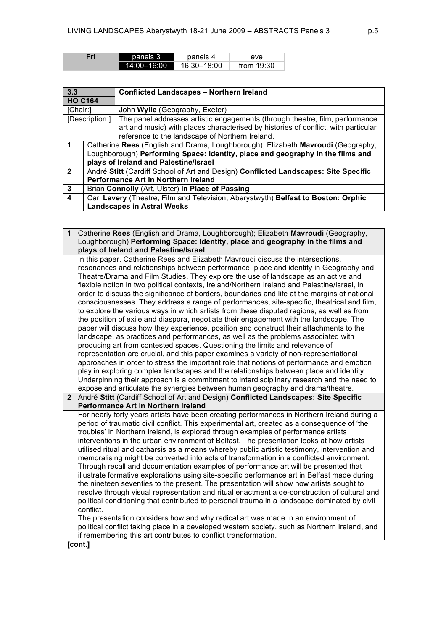| Fri | panels 3    | panels 4    | eve          |
|-----|-------------|-------------|--------------|
|     | 14:00-16:00 | 16:30-18:00 | from $19:30$ |

| 3.3            |                                                                                                                                                                                                             | <b>Conflicted Landscapes - Northern Ireland</b>                                                                                                                                                                       |
|----------------|-------------------------------------------------------------------------------------------------------------------------------------------------------------------------------------------------------------|-----------------------------------------------------------------------------------------------------------------------------------------------------------------------------------------------------------------------|
| <b>HO C164</b> |                                                                                                                                                                                                             |                                                                                                                                                                                                                       |
| [Chair:]       |                                                                                                                                                                                                             | John Wylie (Geography, Exeter)                                                                                                                                                                                        |
|                | [Description:]                                                                                                                                                                                              | The panel addresses artistic engagements (through theatre, film, performance<br>art and music) with places characterised by histories of conflict, with particular<br>reference to the landscape of Northern Ireland. |
| 1              | Catherine Rees (English and Drama, Loughborough); Elizabeth Mavroudi (Geography,<br>Loughborough) Performing Space: Identity, place and geography in the films and<br>plays of Ireland and Palestine/Israel |                                                                                                                                                                                                                       |
| $\overline{2}$ |                                                                                                                                                                                                             | André Stitt (Cardiff School of Art and Design) Conflicted Landscapes: Site Specific                                                                                                                                   |
|                | Performance Art in Northern Ireland                                                                                                                                                                         |                                                                                                                                                                                                                       |
| 3              | Brian Connolly (Art, Ulster) In Place of Passing                                                                                                                                                            |                                                                                                                                                                                                                       |
| 4              |                                                                                                                                                                                                             | Carl Lavery (Theatre, Film and Television, Aberystwyth) Belfast to Boston: Orphic                                                                                                                                     |
|                |                                                                                                                                                                                                             | <b>Landscapes in Astral Weeks</b>                                                                                                                                                                                     |

| $\mathbf 1$    | Catherine Rees (English and Drama, Loughborough); Elizabeth Mavroudi (Geography,                                                                                      |
|----------------|-----------------------------------------------------------------------------------------------------------------------------------------------------------------------|
|                | Loughborough) Performing Space: Identity, place and geography in the films and                                                                                        |
|                | plays of Ireland and Palestine/Israel                                                                                                                                 |
|                | In this paper, Catherine Rees and Elizabeth Mavroudi discuss the intersections,                                                                                       |
|                | resonances and relationships between performance, place and identity in Geography and                                                                                 |
|                | Theatre/Drama and Film Studies. They explore the use of landscape as an active and                                                                                    |
|                | flexible notion in two political contexts, Ireland/Northern Ireland and Palestine/Israel, in                                                                          |
|                | order to discuss the significance of borders, boundaries and life at the margins of national                                                                          |
|                | consciousnesses. They address a range of performances, site-specific, theatrical and film,                                                                            |
|                | to explore the various ways in which artists from these disputed regions, as well as from                                                                             |
|                | the position of exile and diaspora, negotiate their engagement with the landscape. The                                                                                |
|                | paper will discuss how they experience, position and construct their attachments to the                                                                               |
|                | landscape, as practices and performances, as well as the problems associated with                                                                                     |
|                | producing art from contested spaces. Questioning the limits and relevance of                                                                                          |
|                | representation are crucial, and this paper examines a variety of non-representational                                                                                 |
|                | approaches in order to stress the important role that notions of performance and emotion                                                                              |
|                | play in exploring complex landscapes and the relationships between place and identity.                                                                                |
|                | Underpinning their approach is a commitment to interdisciplinary research and the need to                                                                             |
| 2 <sub>1</sub> | expose and articulate the synergies between human geography and drama/theatre.<br>André Stitt (Cardiff School of Art and Design) Conflicted Landscapes: Site Specific |
|                | Performance Art in Northern Ireland                                                                                                                                   |
|                | For nearly forty years artists have been creating performances in Northern Ireland during a                                                                           |
|                | period of traumatic civil conflict. This experimental art, created as a consequence of 'the                                                                           |
|                | troubles' in Northern Ireland, is explored through examples of performance artists                                                                                    |
|                | interventions in the urban environment of Belfast. The presentation looks at how artists                                                                              |
|                | utilised ritual and catharsis as a means whereby public artistic testimony, intervention and                                                                          |
|                | memoralising might be converted into acts of transformation in a conflicted environment.                                                                              |
|                | Through recall and documentation examples of performance art will be presented that                                                                                   |
|                | illustrate formative explorations using site-specific performance art in Belfast made during                                                                          |
|                | the nineteen seventies to the present. The presentation will show how artists sought to                                                                               |
|                | resolve through visual representation and ritual enactment a de-construction of cultural and                                                                          |
|                | political conditioning that contributed to personal trauma in a landscape dominated by civil                                                                          |
|                | conflict.                                                                                                                                                             |
|                | The presentation considers how and why radical art was made in an environment of                                                                                      |
|                | political conflict taking place in a developed western society, such as Northern Ireland, and                                                                         |
|                | if remembering this art contributes to conflict transformation.                                                                                                       |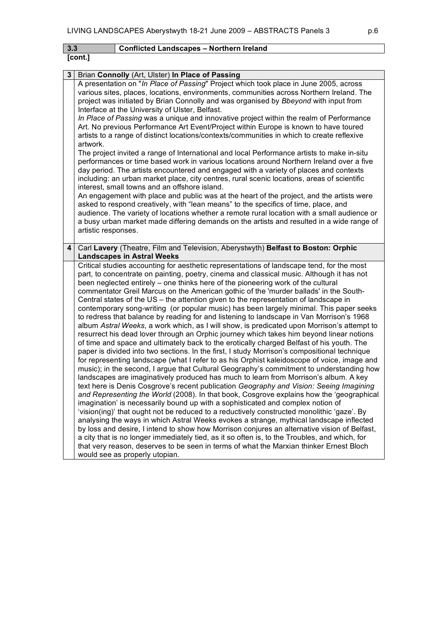## **3.3 Conflicted Landscapes – Northern Ireland [cont.]**

| Brian Connolly (Art, Ulster) In Place of Passing                                                                                                                                                                                                                                                                                                                                                                                                                                                                                                                                                                                                                                                                                                                                                                                                                                                                                                                                                                                                                                                                                                                                                                                                                                                                                                                                                                                                                                                                                                                                                                                                                                                                                                                                                                                                                                                                                                                                                                                                                                                                              |
|-------------------------------------------------------------------------------------------------------------------------------------------------------------------------------------------------------------------------------------------------------------------------------------------------------------------------------------------------------------------------------------------------------------------------------------------------------------------------------------------------------------------------------------------------------------------------------------------------------------------------------------------------------------------------------------------------------------------------------------------------------------------------------------------------------------------------------------------------------------------------------------------------------------------------------------------------------------------------------------------------------------------------------------------------------------------------------------------------------------------------------------------------------------------------------------------------------------------------------------------------------------------------------------------------------------------------------------------------------------------------------------------------------------------------------------------------------------------------------------------------------------------------------------------------------------------------------------------------------------------------------------------------------------------------------------------------------------------------------------------------------------------------------------------------------------------------------------------------------------------------------------------------------------------------------------------------------------------------------------------------------------------------------------------------------------------------------------------------------------------------------|
| A presentation on "In Place of Passing" Project which took place in June 2005, across<br>various sites, places, locations, environments, communities across Northern Ireland. The<br>project was initiated by Brian Connolly and was organised by Bbeyond with input from<br>Interface at the University of Ulster, Belfast.<br>In Place of Passing was a unique and innovative project within the realm of Performance                                                                                                                                                                                                                                                                                                                                                                                                                                                                                                                                                                                                                                                                                                                                                                                                                                                                                                                                                                                                                                                                                                                                                                                                                                                                                                                                                                                                                                                                                                                                                                                                                                                                                                       |
| Art. No previous Performance Art Event/Project within Europe is known to have toured<br>artists to a range of distinct locations/contexts/communities in which to create reflexive<br>artwork.                                                                                                                                                                                                                                                                                                                                                                                                                                                                                                                                                                                                                                                                                                                                                                                                                                                                                                                                                                                                                                                                                                                                                                                                                                                                                                                                                                                                                                                                                                                                                                                                                                                                                                                                                                                                                                                                                                                                |
| The project invited a range of International and local Performance artists to make in-situ<br>performances or time based work in various locations around Northern Ireland over a five<br>day period. The artists encountered and engaged with a variety of places and contexts<br>including: an urban market place, city centres, rural scenic locations, areas of scientific<br>interest, small towns and an offshore island.                                                                                                                                                                                                                                                                                                                                                                                                                                                                                                                                                                                                                                                                                                                                                                                                                                                                                                                                                                                                                                                                                                                                                                                                                                                                                                                                                                                                                                                                                                                                                                                                                                                                                               |
| An engagement with place and public was at the heart of the project, and the artists were<br>asked to respond creatively, with "lean means" to the specifics of time, place, and<br>audience. The variety of locations whether a remote rural location with a small audience or<br>a busy urban market made differing demands on the artists and resulted in a wide range of<br>artistic responses.                                                                                                                                                                                                                                                                                                                                                                                                                                                                                                                                                                                                                                                                                                                                                                                                                                                                                                                                                                                                                                                                                                                                                                                                                                                                                                                                                                                                                                                                                                                                                                                                                                                                                                                           |
| Carl Lavery (Theatre, Film and Television, Aberystwyth) Belfast to Boston: Orphic<br><b>Landscapes in Astral Weeks</b>                                                                                                                                                                                                                                                                                                                                                                                                                                                                                                                                                                                                                                                                                                                                                                                                                                                                                                                                                                                                                                                                                                                                                                                                                                                                                                                                                                                                                                                                                                                                                                                                                                                                                                                                                                                                                                                                                                                                                                                                        |
| Critical studies accounting for aesthetic representations of landscape tend, for the most<br>part, to concentrate on painting, poetry, cinema and classical music. Although it has not<br>been neglected entirely - one thinks here of the pioneering work of the cultural<br>commentator Greil Marcus on the American gothic of the 'murder ballads' in the South-<br>Central states of the US - the attention given to the representation of landscape in<br>contemporary song-writing (or popular music) has been largely minimal. This paper seeks<br>to redress that balance by reading for and listening to landscape in Van Morrison's 1968<br>album Astral Weeks, a work which, as I will show, is predicated upon Morrison's attempt to<br>resurrect his dead lover through an Orphic journey which takes him beyond linear notions<br>of time and space and ultimately back to the erotically charged Belfast of his youth. The<br>paper is divided into two sections. In the first, I study Morrison's compositional technique<br>for representing landscape (what I refer to as his Orphist kaleidoscope of voice, image and<br>music); in the second, I argue that Cultural Geography's commitment to understanding how<br>landscapes are imaginatively produced has much to learn from Morrison's album. A key<br>text here is Denis Cosgrove's recent publication Geography and Vision: Seeing Imagining<br>and Representing the World (2008). In that book, Cosgrove explains how the 'geographical<br>imagination' is necessarily bound up with a sophisticated and complex notion of<br>'vision(ing)' that ought not be reduced to a reductively constructed monolithic 'gaze'. By<br>analysing the ways in which Astral Weeks evokes a strange, mythical landscape inflected<br>by loss and desire, I intend to show how Morrison conjures an alternative vision of Belfast,<br>a city that is no longer immediately tied, as it so often is, to the Troubles, and which, for<br>that very reason, deserves to be seen in terms of what the Marxian thinker Ernest Bloch<br>would see as properly utopian. |
|                                                                                                                                                                                                                                                                                                                                                                                                                                                                                                                                                                                                                                                                                                                                                                                                                                                                                                                                                                                                                                                                                                                                                                                                                                                                                                                                                                                                                                                                                                                                                                                                                                                                                                                                                                                                                                                                                                                                                                                                                                                                                                                               |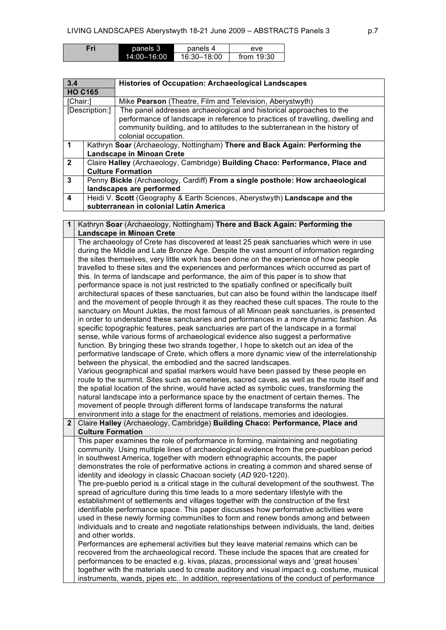| -ri | panels 3    | panels 4    | eve          |
|-----|-------------|-------------|--------------|
|     | 14:00-16:00 | 16:30-18:00 | from $19:30$ |

| 3.4                  |                                                                               | <b>Histories of Occupation: Archaeological Landscapes</b>                      |
|----------------------|-------------------------------------------------------------------------------|--------------------------------------------------------------------------------|
|                      | <b>HO C165</b>                                                                |                                                                                |
| [Chair:]             |                                                                               | Mike Pearson (Theatre, Film and Television, Aberystwyth)                       |
| [Description:]       |                                                                               | The panel addresses archaeological and historical approaches to the            |
|                      |                                                                               | performance of landscape in reference to practices of travelling, dwelling and |
|                      |                                                                               | community building, and to attitudes to the subterranean in the history of     |
|                      |                                                                               | colonial occupation.                                                           |
| $\blacktriangleleft$ |                                                                               | Kathryn Soar (Archaeology, Nottingham) There and Back Again: Performing the    |
|                      |                                                                               | <b>Landscape in Minoan Crete</b>                                               |
| $\overline{2}$       | Claire Halley (Archaeology, Cambridge) Building Chaco: Performance, Place and |                                                                                |
|                      |                                                                               | <b>Culture Formation</b>                                                       |
| 3                    |                                                                               | Penny Bickle (Archaeology, Cardiff) From a single posthole: How archaeological |
|                      |                                                                               | landscapes are performed                                                       |
| 4                    |                                                                               | Heidi V. Scott (Geography & Earth Sciences, Aberystwyth) Landscape and the     |
|                      |                                                                               | subterranean in colonial Latin America                                         |

| 1            | Kathryn Soar (Archaeology, Nottingham) There and Back Again: Performing the                                                                                                                                                                                                                                                                                                                                                                                                                                                                                                                                                                                                                                                                                                                                                                                                                                                                                                                                                                                                                                                                                                                                                                                                                                                                                                                                                                                                                                                                                                                                                                                                                                                                                                                                                                                                                                                   |  |  |
|--------------|-------------------------------------------------------------------------------------------------------------------------------------------------------------------------------------------------------------------------------------------------------------------------------------------------------------------------------------------------------------------------------------------------------------------------------------------------------------------------------------------------------------------------------------------------------------------------------------------------------------------------------------------------------------------------------------------------------------------------------------------------------------------------------------------------------------------------------------------------------------------------------------------------------------------------------------------------------------------------------------------------------------------------------------------------------------------------------------------------------------------------------------------------------------------------------------------------------------------------------------------------------------------------------------------------------------------------------------------------------------------------------------------------------------------------------------------------------------------------------------------------------------------------------------------------------------------------------------------------------------------------------------------------------------------------------------------------------------------------------------------------------------------------------------------------------------------------------------------------------------------------------------------------------------------------------|--|--|
|              | Landscape in Minoan Crete                                                                                                                                                                                                                                                                                                                                                                                                                                                                                                                                                                                                                                                                                                                                                                                                                                                                                                                                                                                                                                                                                                                                                                                                                                                                                                                                                                                                                                                                                                                                                                                                                                                                                                                                                                                                                                                                                                     |  |  |
|              | The archaeology of Crete has discovered at least 25 peak sanctuaries which were in use<br>during the Middle and Late Bronze Age. Despite the vast amount of information regarding<br>the sites themselves, very little work has been done on the experience of how people<br>travelled to these sites and the experiences and performances which occurred as part of<br>this. In terms of landscape and performance, the aim of this paper is to show that<br>performance space is not just restricted to the spatially confined or specifically built<br>architectural spaces of these sanctuaries, but can also be found within the landscape itself<br>and the movement of people through it as they reached these cult spaces. The route to the<br>sanctuary on Mount Juktas, the most famous of all Minoan peak sanctuaries, is presented<br>in order to understand these sanctuaries and performances in a more dynamic fashion. As<br>specific topographic features, peak sanctuaries are part of the landscape in a formal<br>sense, while various forms of archaeological evidence also suggest a performative<br>function. By bringing these two strands together, I hope to sketch out an idea of the<br>performative landscape of Crete, which offers a more dynamic view of the interrelationship<br>between the physical, the embodied and the sacred landscapes.<br>Various geographical and spatial markers would have been passed by these people en<br>route to the summit. Sites such as cemeteries, sacred caves, as well as the route itself and<br>the spatial location of the shrine, would have acted as symbolic cues, transforming the<br>natural landscape into a performance space by the enactment of certain themes. The<br>movement of people through different forms of landscape transforms the natural<br>environment into a stage for the enactment of relations, memories and ideologies. |  |  |
| $\mathbf{2}$ | Claire Halley (Archaeology, Cambridge) Building Chaco: Performance, Place and<br><b>Culture Formation</b>                                                                                                                                                                                                                                                                                                                                                                                                                                                                                                                                                                                                                                                                                                                                                                                                                                                                                                                                                                                                                                                                                                                                                                                                                                                                                                                                                                                                                                                                                                                                                                                                                                                                                                                                                                                                                     |  |  |
|              | This paper examines the role of performance in forming, maintaining and negotiating<br>community. Using multiple lines of archaeological evidence from the pre-puebloan period<br>in southwest America, together with modern ethnographic accounts, the paper<br>demonstrates the role of performative actions in creating a common and shared sense of<br>identity and ideology in classic Chacoan society (AD 920-1220).<br>The pre-pueblo period is a critical stage in the cultural development of the southwest. The<br>spread of agriculture during this time leads to a more sedentary lifestyle with the<br>establishment of settlements and villages together with the construction of the first<br>identifiable performance space. This paper discusses how performative activities were<br>used in these newly forming communities to form and renew bonds among and between<br>individuals and to create and negotiate relationships between individuals, the land, deities<br>and other worlds.<br>Performances are ephemeral activities but they leave material remains which can be<br>recovered from the archaeological record. These include the spaces that are created for<br>performances to be enacted e.g. kivas, plazas, processional ways and 'great houses'<br>together with the materials used to create auditory and visual impact e.g. costume, musical<br>instruments, wands, pipes etc In addition, representations of the conduct of performance                                                                                                                                                                                                                                                                                                                                                                                                                                               |  |  |